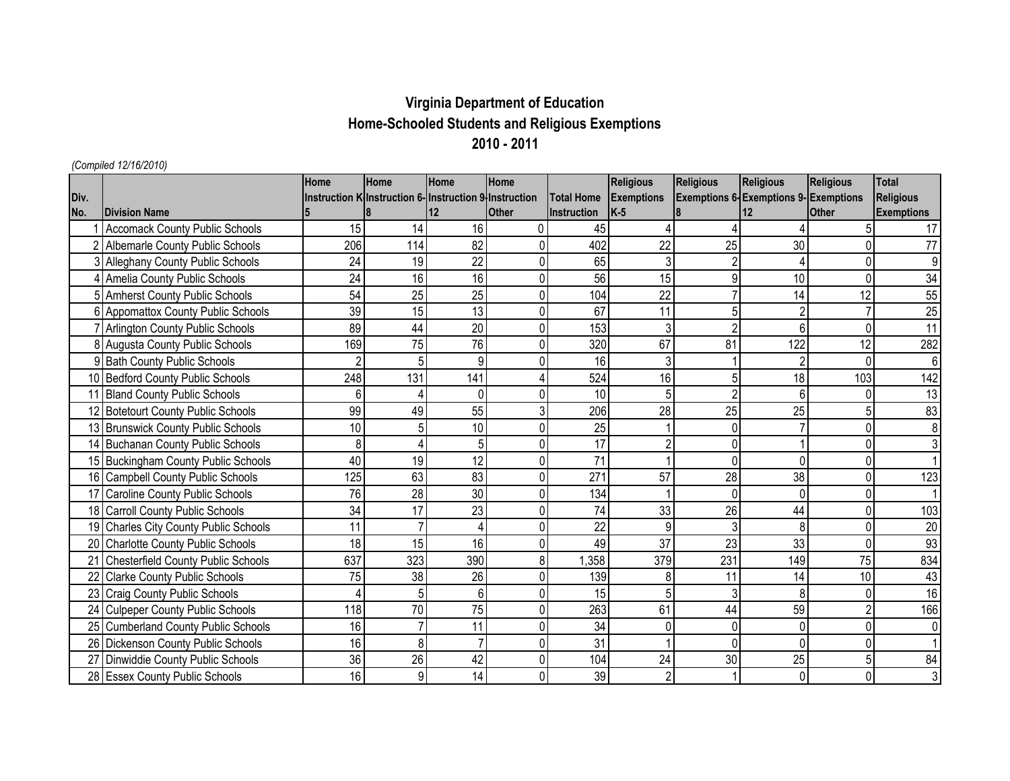## **Virginia Department of Education Home-Schooled Students and Religious Exemptions 2010 - 2011**

## *(Compiled 12/16/2010)*

|      |                                        | Home | <b>Home</b>                                            | Home            | Home         |                    | <b>Religious</b>  | <b>Religious</b>         | <b>Religious</b>                            | <b>Religious</b> | <b>Total</b>      |
|------|----------------------------------------|------|--------------------------------------------------------|-----------------|--------------|--------------------|-------------------|--------------------------|---------------------------------------------|------------------|-------------------|
| Div. |                                        |      | Instruction K Instruction 6- Instruction 9 Instruction |                 |              | <b>Total Home</b>  | <b>Exemptions</b> |                          | <b>Exemptions 6-Exemptions 9-Exemptions</b> |                  | Religious         |
| No.  | <b>IDivision Name</b>                  |      |                                                        | $12 \,$         | <b>Other</b> | <b>Instruction</b> | $K-5$             |                          | 12                                          | <b>Other</b>     | <b>Exemptions</b> |
|      | <b>Accomack County Public Schools</b>  | 15   | 14                                                     | 16              | $\Omega$     | 45                 |                   |                          |                                             |                  | 17                |
|      | <b>Albemarle County Public Schools</b> | 206  | 114                                                    | 82              | 0            | 402                | 22                | 25                       | 30                                          | 0                | 77                |
|      | Alleghany County Public Schools        | 24   | 19                                                     | 22              | $\Omega$     | 65                 | 3                 | $\overline{\phantom{a}}$ |                                             | $\Omega$         | 9                 |
|      | Amelia County Public Schools           | 24   | 16                                                     | 16              | 0            | 56                 | 15                | 9                        | 10                                          | $\Omega$         | 34                |
|      | 5 Amherst County Public Schools        | 54   | 25                                                     | 25              | $\mathbf 0$  | 104                | 22                |                          | 14                                          | 12               | 55                |
|      | Appomattox County Public Schools       | 39   | 15                                                     | 13              | $\mathbf 0$  | 67                 | 11                | 5                        |                                             |                  | 25                |
|      | <b>Arlington County Public Schools</b> | 89   | 44                                                     | 20              | $\Omega$     | 153                | 3                 | $\overline{2}$           | 6 <sub>1</sub>                              | 0                | 11                |
|      | Augusta County Public Schools          | 169  | 75                                                     | 76              | 0            | 320                | 67                | 81                       | 122                                         | 12               | 282               |
|      | 9 Bath County Public Schools           |      | 5                                                      | 9               | $\Omega$     | 16                 | 3                 |                          |                                             | 0                | $6\phantom{1}$    |
|      | 10 Bedford County Public Schools       | 248  | 131                                                    | 141             | 4            | 524                | 16                | 5                        | 18                                          | 103              | 142               |
|      | 11 Bland County Public Schools         | 6    |                                                        | 0               | 0            | 10                 | 5                 | $\overline{\phantom{a}}$ |                                             | 0                | 13                |
|      | 12 Botetourt County Public Schools     | 99   | 49                                                     | 55              | 3            | 206                | 28                | 25                       | 25                                          | 5                | 83                |
|      | 13 Brunswick County Public Schools     | 10   | 5                                                      | 10              | $\Omega$     | 25                 |                   | 0                        |                                             |                  | 8                 |
|      | 14 Buchanan County Public Schools      | 8    |                                                        | 5               | $\Omega$     | 17                 |                   |                          |                                             | 0                |                   |
|      | 15 Buckingham County Public Schools    | 40   | 19                                                     | 12              | $\Omega$     | 71                 |                   | ŋ                        |                                             | 0                |                   |
|      | 16 Campbell County Public Schools      | 125  | 63                                                     | 83              | $\Omega$     | 271                | 57                | 28                       | 38                                          | $\Omega$         | 123               |
|      | 17 Caroline County Public Schools      | 76   | 28                                                     | 30              | 0            | 134                |                   | 0                        |                                             | 0                |                   |
|      | 18 Carroll County Public Schools       | 34   | 17                                                     | 23              | 0            | 74                 | 33                | 26                       | 44                                          | $\Omega$         | 103               |
|      | 19 Charles City County Public Schools  | 11   |                                                        |                 | 0            | 22                 | 9                 | 3                        | 8                                           | 0                | 20                |
|      | 20 Charlotte County Public Schools     | 18   | 15                                                     | 16              | $\mathbf 0$  | 49                 | 37                | 23                       | 33                                          | 0                | 93                |
|      | 21 Chesterfield County Public Schools  | 637  | 323                                                    | 390             | 8            | ,358               | 379               | 231                      | 149                                         | 75               | 834               |
|      | <b>Clarke County Public Schools</b>    | 75   | 38                                                     | 26              | $\mathbf 0$  | 139                | 8                 | 11                       | 14                                          | 10               | 43                |
|      | 23 Craig County Public Schools         |      | 5                                                      | 6               | 0            | 15                 |                   | 3                        |                                             | 0                | 16                |
|      | 24 Culpeper County Public Schools      | 118  | 70                                                     | 75              | $\mathbf 0$  | 263                | 61                | 44                       | 59                                          | $\overline{2}$   | 166               |
|      | 25 Cumberland County Public Schools    | 16   |                                                        | 11              | 0            | 34                 |                   | 0                        |                                             | 0                | 0                 |
|      | 26 Dickenson County Public Schools     | 16   | 8                                                      |                 | $\mathbf 0$  | 31                 |                   | 0                        |                                             | 0                |                   |
|      | 27 Dinwiddie County Public Schools     | 36   | 26                                                     | $\overline{42}$ | $\mathbf 0$  | 104                | 24                | 30                       | 25                                          | 5                | 84                |
|      | 28 Essex County Public Schools         | 16   | 9                                                      | 14              | 0            | 39                 | $\overline{2}$    |                          |                                             | 0                | 3                 |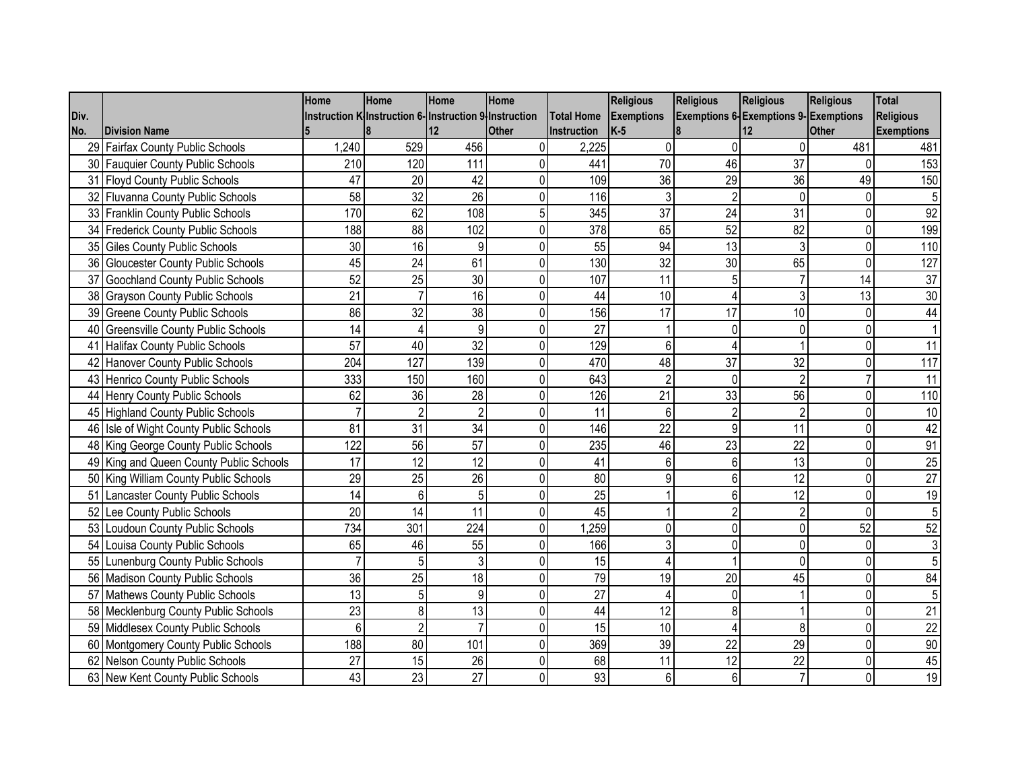|      |                                         | Home           | Home                                                   | Home            | Home           |                  | <b>Religious</b>  | <b>Religious</b> | <b>Religious</b>                            | <b>Religious</b> | <b>Total</b>      |
|------|-----------------------------------------|----------------|--------------------------------------------------------|-----------------|----------------|------------------|-------------------|------------------|---------------------------------------------|------------------|-------------------|
| Div. |                                         |                | Instruction K Instruction 6- Instruction 9 Instruction |                 |                | Total Home       | <b>Exemptions</b> |                  | <b>Exemptions 6-Exemptions 9-Exemptions</b> |                  | Religious         |
| No.  | <b>Division Name</b>                    |                |                                                        | 12              | <b>Other</b>   | Instruction      | $K-5$             |                  |                                             | <b>Other</b>     | <b>Exemptions</b> |
|      | 29 Fairfax County Public Schools        | 1,240          | 529                                                    | 456             | $\overline{0}$ | 2,225            | 0                 |                  | <sup>0</sup>                                | 481              | 481               |
|      | 30 Fauquier County Public Schools       | 210            | 120                                                    | 111             | 0              | 441              | 70                | 46               | 37                                          | 0                | 153               |
|      | 31 Floyd County Public Schools          | 47             | 20                                                     | 42              | 0              | 109              | 36                | 29               | 36                                          | 49               | 150               |
|      | 32 Fluvanna County Public Schools       | 58             | $\overline{32}$                                        | $\overline{26}$ | $\mathbf 0$    | 116              | 3                 | $\mathfrak{p}$   | $\mathbf 0$                                 | 0                | 5                 |
|      | 33 Franklin County Public Schools       | 170            | 62                                                     | 108             | 5              | 345              | 37                | 24               | 31                                          | 0                | 92                |
|      | 34 Frederick County Public Schools      | 188            | 88                                                     | 102             | $\mathbf 0$    | 378              | 65                | 52               | 82                                          | 0                | 199               |
|      | 35 Giles County Public Schools          | 30             | 16                                                     | 9               | $\mathbf 0$    | 55               | 94                | 13               | 3                                           | 0                | 110               |
|      | 36 Gloucester County Public Schools     | 45             | 24                                                     | 61              | $\mathbf 0$    | 130              | 32                | 30               | 65                                          | $\mathbf{0}$     | 127               |
|      | 37 Goochland County Public Schools      | 52             | 25                                                     | 30              | $\mathbf 0$    | 107              | 11                |                  |                                             | 14               | 37                |
|      | 38 Grayson County Public Schools        | 21             | $\overline{7}$                                         | 16              | $\mathbf 0$    | 44               | 10                |                  | 3                                           | 13               | 30                |
|      | 39 Greene County Public Schools         | 86             | 32                                                     | 38              | 0              | 156              | 17                | 17               | 10                                          | 0                | 44                |
|      | 40 Greensville County Public Schools    | 14             | 4                                                      | 9               | $\mathbf 0$    | 27               |                   |                  | $\Omega$                                    | 0                |                   |
|      | 41 Halifax County Public Schools        | 57             | 40                                                     | $\overline{32}$ | $\pmb{0}$      | 129              | 6                 |                  |                                             | 0                | $\overline{11}$   |
|      | 42 Hanover County Public Schools        | 204            | 127                                                    | 139             | $\mathbf 0$    | 470              | 48                | 37               | 32                                          | $\Omega$         | 117               |
|      | 43 Henrico County Public Schools        | 333            | 150                                                    | 160             | 0              | 643              | $\overline{2}$    | $\Omega$         | $\overline{2}$                              |                  | 11                |
|      | 44 Henry County Public Schools          | 62             | 36                                                     | $\overline{28}$ | $\mathbf 0$    | $\overline{126}$ | 21                | 33               | 56                                          | $\Omega$         | 110               |
|      | 45 Highland County Public Schools       | $\overline{7}$ | $\overline{2}$                                         | $\overline{2}$  | $\mathbf 0$    | 11               | 6                 | $\overline{2}$   | $\overline{2}$                              | 0                | 10                |
|      | 46 Isle of Wight County Public Schools  | 81             | 31                                                     | 34              | $\pmb{0}$      | 146              | 22                | 9                | 11                                          | 0                | 42                |
|      | 48 King George County Public Schools    | 122            | $\overline{56}$                                        | $\overline{57}$ | $\pmb{0}$      | 235              | 46                | 23               | $\overline{22}$                             | 0                | 91                |
|      | 49 King and Queen County Public Schools | 17             | 12                                                     | 12              | $\mathbf 0$    | 41               | 6                 | 6                | 13                                          | $\mathbf 0$      | $\overline{25}$   |
|      | 50 King William County Public Schools   | 29             | 25                                                     | 26              | $\mathbf 0$    | 80               | 9                 |                  | 12                                          | $\Omega$         | 27                |
|      | 51 Lancaster County Public Schools      | 14             | 6                                                      | 5               | $\pmb{0}$      | 25               |                   | 6                | 12                                          | $\mathbf 0$      | 19                |
|      | 52 Lee County Public Schools            | 20             | 14                                                     | 11              | $\pmb{0}$      | 45               |                   | $\overline{2}$   | $\overline{2}$                              | $\mathbf 0$      |                   |
|      | 53 Loudoun County Public Schools        | 734            | 301                                                    | 224             | $\pmb{0}$      | 1,259            | $\Omega$          | $\Omega$         | $\Omega$                                    | 52               | 52                |
|      | 54 Louisa County Public Schools         | 65             | 46                                                     | 55              | $\pmb{0}$      | 166              | 3                 |                  | $\Omega$                                    | 0                |                   |
|      | 55 Lunenburg County Public Schools      | $\overline{7}$ | 5                                                      | 3               | 0              | 15               |                   |                  | $\Omega$                                    | 0                |                   |
|      | 56 Madison County Public Schools        | 36             | 25                                                     | 18              | $\Omega$       | 79               | 19                | 20               | 45                                          | $\Omega$         | 84                |
|      | 57 Mathews County Public Schools        | 13             | 5 <sup>1</sup>                                         | $9\,$           | $\pmb{0}$      | $\overline{27}$  | Δ                 | <sup>0</sup>     |                                             | 0                | 5                 |
|      | 58 Mecklenburg County Public Schools    | 23             | 8                                                      | 13              | $\mathbf 0$    | 44               | 12                | 8                |                                             | $\mathbf 0$      | $\overline{21}$   |
|      | 59 Middlesex County Public Schools      | 6              | $\overline{2}$                                         |                 | $\pmb{0}$      | 15               | 10                |                  | 8                                           | 0                | $\overline{22}$   |
|      | 60 Montgomery County Public Schools     | 188            | $\overline{80}$                                        | 101             | $\pmb{0}$      | 369              | 39                | 22               | 29                                          | 0                | 90                |
|      | 62 Nelson County Public Schools         | 27             | 15                                                     | 26              | $\mathbf 0$    | 68               | 11                | 12               | 22                                          | 0                | 45                |
|      | 63 New Kent County Public Schools       | 43             | 23                                                     | 27              | $\mathbf 0$    | 93               | 6                 | 6                | $\overline{7}$                              | $\Omega$         | 19                |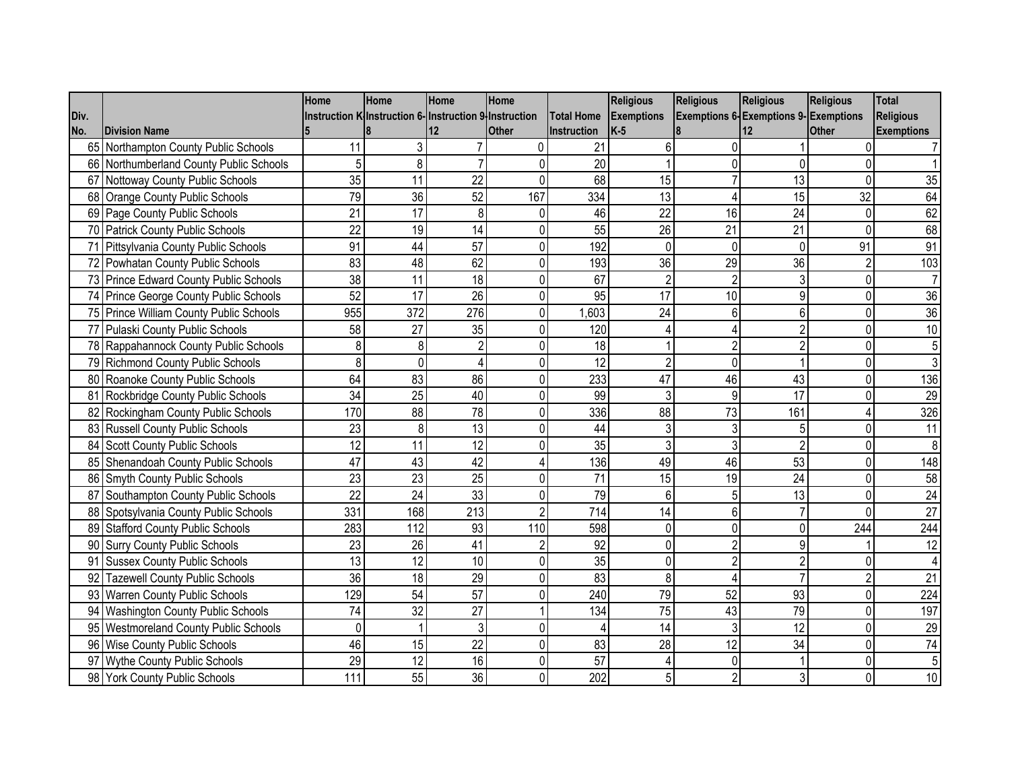|      |                                         | Home        | Home                                                  | Home | Home           |                    | <b>Religious</b>  | <b>Religious</b> | <b>Religious</b>                            | <b>Religious</b> | <b>Total</b>      |
|------|-----------------------------------------|-------------|-------------------------------------------------------|------|----------------|--------------------|-------------------|------------------|---------------------------------------------|------------------|-------------------|
| Div. |                                         |             | Instruction K Instruction 6-Instruction 9 Instruction |      |                | <b>Total Home</b>  | <b>Exemptions</b> |                  | <b>Exemptions 6-Exemptions 9-Exemptions</b> |                  | Religious         |
| No.  | <b>Division Name</b>                    |             |                                                       | 12   | <b>Other</b>   | <b>Instruction</b> | $K-5$             |                  |                                             | <b>Other</b>     | <b>Exemptions</b> |
|      | 65 Northampton County Public Schools    | 11          | 3                                                     |      | $\Omega$       | 21                 | 6                 |                  |                                             | $\Omega$         |                   |
|      | 66 Northumberland County Public Schools |             | 8                                                     |      | 0              | 20                 |                   | 0                | $\Omega$                                    |                  |                   |
|      | 67 Nottoway County Public Schools       | 35          | 11                                                    | 22   | 0              | 68                 | 15                |                  | 13                                          | $\Omega$         | 35                |
|      | 68 Orange County Public Schools         | 79          | 36                                                    | 52   | 167            | 334                | 13                |                  | 15                                          | 32               | 64                |
|      | 69 Page County Public Schools           | 21          | 17                                                    | 8    | 0              | 46                 | 22                | 16               | 24                                          | 0                | 62                |
|      | 70 Patrick County Public Schools        | 22          | 19                                                    | 14   | 0              | 55                 | 26                | 21               | 21                                          | 0                | 68                |
|      | 71 Pittsylvania County Public Schools   | 91          | 44                                                    | 57   | 0              | 192                | $\Omega$          | $\Omega$         | $\Omega$                                    | 91               | 91                |
|      | 72 Powhatan County Public Schools       | 83          | 48                                                    | 62   | 0              | 193                | 36                | 29               | 36                                          | $\overline{2}$   | 103               |
|      | 73 Prince Edward County Public Schools  | 38          | 11                                                    | 18   | 0              | 67                 | 2                 | $\overline{2}$   | 3                                           | $\Omega$         |                   |
|      | 74 Prince George County Public Schools  | 52          | 17                                                    | 26   | $\mathbf 0$    | 95                 | 17                | 10               | 9                                           | $\Omega$         | 36                |
|      | 75 Prince William County Public Schools | 955         | 372                                                   | 276  | $\pmb{0}$      | 1,603              | 24                | 6                | $6\phantom{1}6$                             | 0                | 36                |
|      | 77 Pulaski County Public Schools        | 58          | 27                                                    | 35   | 0              | 120                |                   |                  |                                             | $\Omega$         | 10                |
|      | 78 Rappahannock County Public Schools   | 8           | 8                                                     |      | 0              | 18                 |                   | 2                |                                             | $\Omega$         |                   |
|      | 79 Richmond County Public Schools       | 8           | $\Omega$                                              |      | 0              | 12                 |                   | 0                |                                             |                  |                   |
|      | 80 Roanoke County Public Schools        | 64          | 83                                                    | 86   | 0              | 233                | 47                | 46               | 43                                          | $\Omega$         | 136               |
|      | 81 Rockbridge County Public Schools     | 34          | 25                                                    | 40   | 0              | 99                 | 3                 | 9                | 17                                          | 0                | 29                |
|      | 82 Rockingham County Public Schools     | 170         | 88                                                    | 78   | $\mathbf 0$    | 336                | 88                | 73               | 161                                         |                  | 326               |
|      | 83 Russell County Public Schools        | 23          | 8                                                     | 13   | 0              | 44                 |                   | 3                | 5                                           | $\Omega$         | 11                |
|      | 84 Scott County Public Schools          | 12          | 11                                                    | 12   | 0              | 35                 | 3                 | 3                | $\overline{2}$                              | $\Omega$         | 8                 |
|      | 85 Shenandoah County Public Schools     | 47          | 43                                                    | 42   | 4              | 136                | 49                | 46               | 53                                          | 0                | 148               |
|      | 86 Smyth County Public Schools          | 23          | 23                                                    | 25   | 0              | 71                 | 15                | 19               | 24                                          | 0                | 58                |
|      | 87 Southampton County Public Schools    | 22          | 24                                                    | 33   | $\mathbf 0$    | 79                 | 6                 | 5                | 13                                          | $\Omega$         | $\overline{24}$   |
|      | 88 Spotsylvania County Public Schools   | 331         | 168                                                   | 213  | $\overline{2}$ | 714                | 14                | 6                |                                             | $\Omega$         | $\overline{27}$   |
|      | 89 Stafford County Public Schools       | 283         | 112                                                   | 93   | 110            | 598                | 0                 | 0                | $\Omega$                                    | 244              | 244               |
|      | 90 Surry County Public Schools          | 23          | 26                                                    | 41   | $\overline{2}$ | 92                 | 0                 | $\overline{2}$   | q                                           |                  | 12                |
|      | 91 Sussex County Public Schools         | 13          | 12                                                    | 10   | 0              | 35                 | 0                 | $\overline{2}$   |                                             | $\Omega$         |                   |
|      | 92 Tazewell County Public Schools       | 36          | 18                                                    | 29   | 0              | 83                 | 8                 |                  |                                             | $\overline{2}$   | $\overline{21}$   |
|      | 93 Warren County Public Schools         | 129         | 54                                                    | 57   | 0              | 240                | 79                | 52               | 93                                          | $\Omega$         | 224               |
|      | 94 Washington County Public Schools     | 74          | 32                                                    | 27   |                | 134                | 75                | 43               | 79                                          | 0                | 197               |
|      | 95 Westmoreland County Public Schools   | $\mathbf 0$ |                                                       | 3    | 0              |                    | 14                | 3                | 12                                          | $\Omega$         | 29                |
|      | 96 Wise County Public Schools           | 46          | 15                                                    | 22   | 0              | 83                 | 28                | 12               | 34                                          | $\Omega$         | $\overline{74}$   |
|      | 97 Wythe County Public Schools          | 29          | 12                                                    | 16   | 0              | 57                 |                   | $\Omega$         |                                             | $\Omega$         | 5                 |
|      | 98 York County Public Schools           | 111         | 55                                                    | 36   | $\mathbf 0$    | 202                |                   | $\overline{2}$   | 3                                           | $\Omega$         | 10                |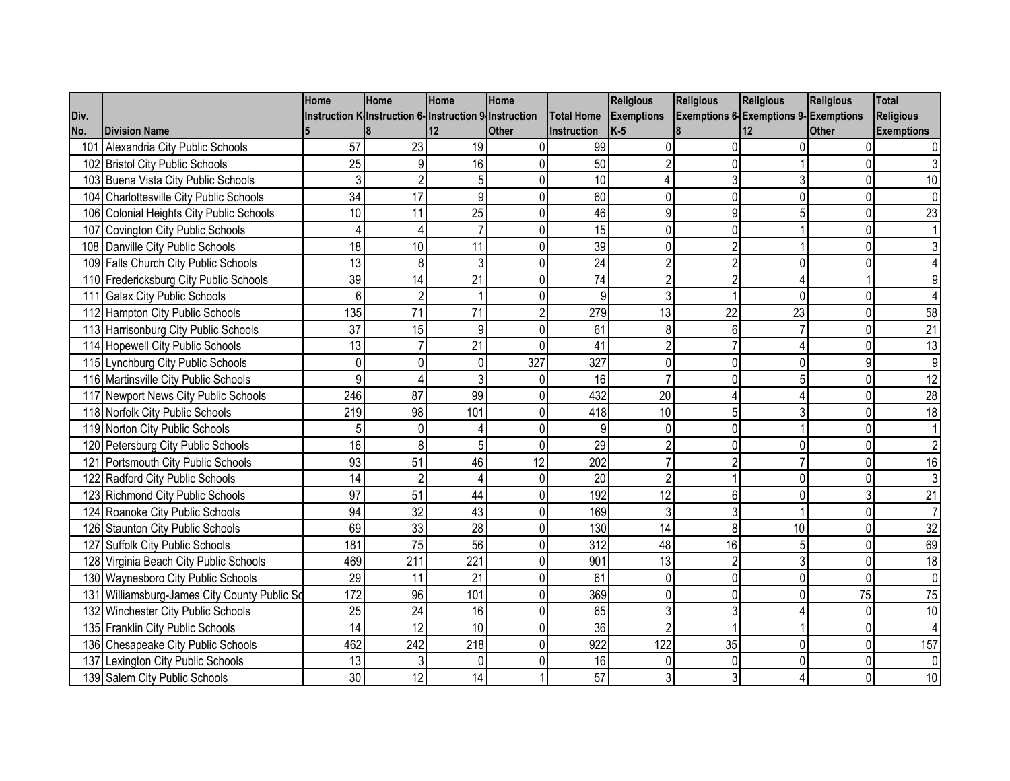|      |                                              | Home            | Home                                                  | Home             | Home           |                    | <b>Religious</b>  | <b>Religious</b> | <b>Religious</b>                            | <b>Religious</b> | <b>Total</b>      |
|------|----------------------------------------------|-----------------|-------------------------------------------------------|------------------|----------------|--------------------|-------------------|------------------|---------------------------------------------|------------------|-------------------|
| Div. |                                              |                 | Instruction K Instruction 6-Instruction 9 Instruction |                  |                | <b>Total Home</b>  | <b>Exemptions</b> |                  | <b>Exemptions 6-Exemptions 9-Exemptions</b> |                  | Religious         |
| No.  | <b>Division Name</b>                         |                 |                                                       | 12               | <b>Other</b>   | <b>Instruction</b> | $K-5$             |                  |                                             | Other            | <b>Exemptions</b> |
|      | 101 Alexandria City Public Schools           | 57              | 23                                                    | 19               | 0              | 99                 |                   |                  |                                             | $\Omega$         |                   |
|      | 102 Bristol City Public Schools              | 25              | 9                                                     | 16               | 0              | 50                 |                   | 0                |                                             |                  |                   |
|      | 103 Buena Vista City Public Schools          | 3               | $\overline{2}$                                        | 5                | 0              | 10                 |                   | 3                | 3                                           | $\Omega$         | 10                |
|      | 104 Charlottesville City Public Schools      | $\overline{34}$ | $\overline{17}$                                       | 9                | $\mathbf{0}$   | 60                 |                   | $\Omega$         | $\Omega$                                    | $\Omega$         |                   |
|      | 106 Colonial Heights City Public Schools     | 10              | 11                                                    | 25               | 0              | 46                 |                   | 9                | 5                                           | 0                | 23                |
|      | 107 Covington City Public Schools            | 4               |                                                       |                  | 0              | 15                 | 0                 | $\Omega$         |                                             | $\Omega$         |                   |
|      | 108 Danville City Public Schools             | 18              | 10                                                    | 11               | 0              | 39                 | O                 | $\overline{2}$   |                                             | $\Omega$         |                   |
|      | 109 Falls Church City Public Schools         | 13              | 8                                                     | 3                | 0              | 24                 |                   | $\overline{2}$   | $\Omega$                                    |                  |                   |
|      | 110 Fredericksburg City Public Schools       | 39              | 14                                                    | 21               | $\mathbf 0$    | 74                 |                   | $\overline{2}$   |                                             |                  |                   |
|      | 111 Galax City Public Schools                | 6               | $\overline{2}$                                        |                  | $\mathbf 0$    | 9                  |                   |                  | $\Omega$                                    | $\Omega$         |                   |
|      | 112 Hampton City Public Schools              | 135             | 71                                                    | 71               | $\overline{2}$ | 279                | 13                | 22               | 23                                          | 0                | 58                |
|      | 113 Harrisonburg City Public Schools         | 37              | 15                                                    | 9                | 0              | 61                 | 8                 | 6                |                                             | $\Omega$         | 21                |
|      | 114 Hopewell City Public Schools             | 13              |                                                       | 21               | $\mathbf 0$    | 41                 |                   |                  |                                             | $\Omega$         | 13                |
|      | 115 Lynchburg City Public Schools            | $\Omega$        | $\Omega$                                              | 0                | 327            | 327                |                   |                  | U                                           | 9                | 9                 |
|      | 116 Martinsville City Public Schools         | 9               |                                                       |                  | 0              | 16                 |                   | n                |                                             | $\Omega$         | $\overline{12}$   |
|      | 117 Newport News City Public Schools         | 246             | 87                                                    | 99               | 0              | 432                | 20                |                  |                                             | $\Omega$         | $\overline{28}$   |
|      | 118 Norfolk City Public Schools              | 219             | 98                                                    | 101              | 0              | 418                | 10                | 5                |                                             | $\Omega$         | 18                |
|      | 119 Norton City Public Schools               | 5               | $\Omega$                                              |                  | 0              | 9                  | 0                 | $\Omega$         |                                             | $\Omega$         |                   |
|      | 120 Petersburg City Public Schools           | 16              | 8                                                     | 5                | 0              | 29                 |                   | $\Omega$         | $\Omega$                                    | $\mathbf{0}$     |                   |
|      | 121 Portsmouth City Public Schools           | 93              | 51                                                    | 46               | 12             | 202                |                   | 2                |                                             | $\Omega$         | 16                |
|      | 122 Radford City Public Schools              | 14              | 2                                                     |                  | $\mathbf 0$    | 20                 | 2                 |                  | $\Omega$                                    | $\Omega$         |                   |
|      | 123 Richmond City Public Schools             | 97              | 51                                                    | 44               | $\pmb{0}$      | 192                | 12                | 6                | $\Omega$                                    | 3                | $\overline{21}$   |
|      | 124 Roanoke City Public Schools              | 94              | 32                                                    | 43               | 0              | 169                | 3                 | 3                |                                             | 0                |                   |
|      | 126 Staunton City Public Schools             | 69              | 33                                                    | 28               | 0              | 130                | 14                | 8                | 10                                          | $\Omega$         | $\overline{32}$   |
|      | 127 Suffolk City Public Schools              | 181             | 75                                                    | 56               | 0              | $\overline{312}$   | 48                | 16               | 5                                           | 0                | 69                |
|      | 128 Virginia Beach City Public Schools       | 469             | 211                                                   | 221              | 0              | 901                | 13                | $\overline{2}$   | 3                                           | $\Omega$         | 18                |
|      | 130 Waynesboro City Public Schools           | 29              | 11                                                    | 21               | 0              | 61                 |                   | 0                | $\Omega$                                    | $\Omega$         | $\overline{0}$    |
|      | 131 Williamsburg-James City County Public So | 172             | 96                                                    | 101              | 0              | 369                |                   | 0                | O                                           | 75               | $\overline{75}$   |
|      | 132 Winchester City Public Schools           | 25              | 24                                                    | 16               | 0              | 65                 |                   | 3                |                                             | 0                | 10                |
|      | 135 Franklin City Public Schools             | 14              | 12                                                    | 10               | 0              | 36                 | 2                 |                  |                                             | 0                |                   |
|      | 136 Chesapeake City Public Schools           | 462             | 242                                                   | $\overline{218}$ | 0              | 922                | 122               | 35               | $\Omega$                                    | 0                | 157               |
|      | 137 Lexington City Public Schools            | 13              | 3                                                     | 0                | 0              | 16                 | U                 | $\Omega$         | $\Omega$                                    | $\Omega$         |                   |
|      | 139 Salem City Public Schools                | 30              | 12                                                    | 14               |                | 57                 |                   | 3                |                                             | $\Omega$         | 10                |